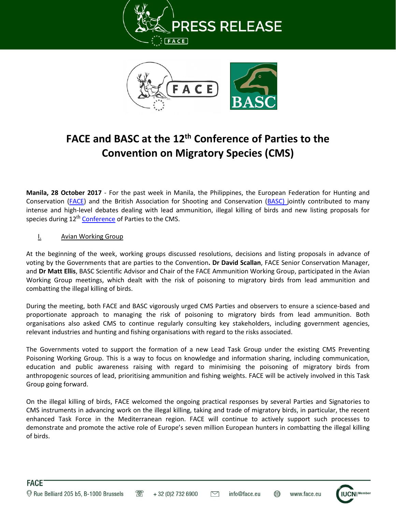



## **FACE and BASC at the 12th Conference of Parties to the Convention on Migratory Species (CMS)**

**Manila, 28 October 2017** - For the past week in Manila, the Philippines, the European Federation for Hunting and Conservation [\(FACE\)](http://face.eu/) and the British Association for Shooting and Conservation [\(BASC\)](https://basc.org.uk/) jointly contributed to many intense and high-level debates dealing with lead ammunition, illegal killing of birds and new listing proposals for species during 12<sup>th</sup> [Conference](http://www.cms.int/en/cop12) of Parties to the CMS.

## **I.** Avian Working Group

At the beginning of the week, working groups discussed resolutions, decisions and listing proposals in advance of voting by the Governments that are parties to the Convention**. Dr David Scallan**, FACE Senior Conservation Manager, and **Dr Matt Ellis**, BASC Scientific Advisor and Chair of the FACE Ammunition Working Group, participated in the Avian Working Group meetings, which dealt with the risk of poisoning to migratory birds from lead ammunition and combatting the illegal killing of birds.

During the meeting, both FACE and BASC vigorously urged CMS Parties and observers to ensure a science-based and proportionate approach to managing the risk of poisoning to migratory birds from lead ammunition. Both organisations also asked CMS to continue regularly consulting key stakeholders, including government agencies, relevant industries and hunting and fishing organisations with regard to the risks associated.

The Governments voted to support the formation of a new Lead Task Group under the existing CMS Preventing Poisoning Working Group. This is a way to focus on knowledge and information sharing, including communication, education and public awareness raising with regard to minimising the poisoning of migratory birds from anthropogenic sources of lead, prioritising ammunition and fishing weights. FACE will be actively involved in this Task Group going forward.

On the illegal killing of birds, FACE welcomed the ongoing practical responses by several Parties and Signatories to CMS instruments in advancing work on the illegal killing, taking and trade of migratory birds, in particular, the recent enhanced Task Force in the Mediterranean region. FACE will continue to actively support such processes to demonstrate and promote the active role of Europe's seven million European hunters in combatting the illegal killing of birds.

 $\triangleright$ 





www.face.eu